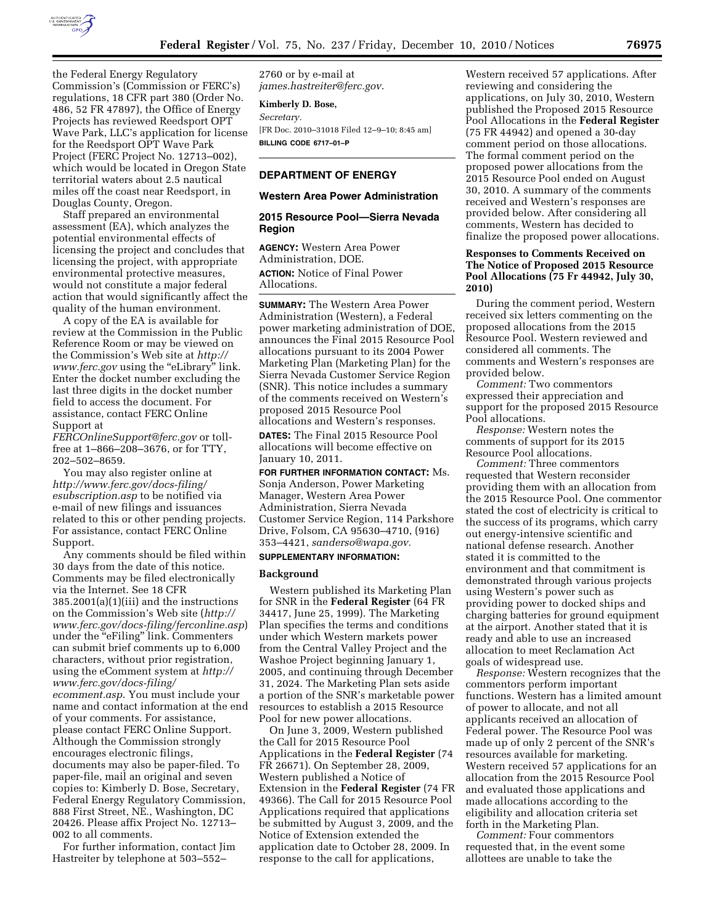

the Federal Energy Regulatory Commission's (Commission or FERC's) regulations, 18 CFR part 380 (Order No. 486, 52 FR 47897), the Office of Energy Projects has reviewed Reedsport OPT Wave Park, LLC's application for license for the Reedsport OPT Wave Park Project (FERC Project No. 12713–002), which would be located in Oregon State territorial waters about 2.5 nautical miles off the coast near Reedsport, in Douglas County, Oregon.

Staff prepared an environmental assessment (EA), which analyzes the potential environmental effects of licensing the project and concludes that licensing the project, with appropriate environmental protective measures, would not constitute a major federal action that would significantly affect the quality of the human environment.

A copy of the EA is available for review at the Commission in the Public Reference Room or may be viewed on the Commission's Web site at *[http://](http://www.ferc.gov) [www.ferc.gov](http://www.ferc.gov)* using the "eLibrary" link. Enter the docket number excluding the last three digits in the docket number field to access the document. For assistance, contact FERC Online Support at

*[FERCOnlineSupport@ferc.gov](mailto:FERCOnlineSupport@ferc.gov)* or tollfree at 1–866–208–3676, or for TTY, 202–502–8659.

You may also register online at *[http://www.ferc.gov/docs-filing/](http://www.ferc.gov/docs-filing/esubscription.asp) [esubscription.asp](http://www.ferc.gov/docs-filing/esubscription.asp)* to be notified via e-mail of new filings and issuances related to this or other pending projects. For assistance, contact FERC Online Support.

Any comments should be filed within 30 days from the date of this notice. Comments may be filed electronically via the Internet. See 18 CFR 385.2001(a)(1)(iii) and the instructions on the Commission's Web site (*[http://](http://www.ferc.gov/docs-filing/ferconline.asp) [www.ferc.gov/docs-filing/ferconline.asp](http://www.ferc.gov/docs-filing/ferconline.asp)*) under the "eFiling" link. Commenters can submit brief comments up to 6,000 characters, without prior registration, using the eComment system at *[http://](http://www.ferc.gov/docs-filing/ecomment.asp)  [www.ferc.gov/docs-filing/](http://www.ferc.gov/docs-filing/ecomment.asp)  [ecomment.asp](http://www.ferc.gov/docs-filing/ecomment.asp)*. You must include your name and contact information at the end of your comments. For assistance, please contact FERC Online Support. Although the Commission strongly encourages electronic filings, documents may also be paper-filed. To paper-file, mail an original and seven copies to: Kimberly D. Bose, Secretary, Federal Energy Regulatory Commission, 888 First Street, NE., Washington, DC 20426. Please affix Project No. 12713– 002 to all comments.

For further information, contact Jim Hastreiter by telephone at 503–552–

2760 or by e-mail at *[james.hastreiter@ferc.gov](mailto:james.hastreiter@ferc.gov)*.

**Kimberly D. Bose,**  *Secretary.*  [FR Doc. 2010–31018 Filed 12–9–10; 8:45 am] **BILLING CODE 6717–01–P** 

# **DEPARTMENT OF ENERGY**

#### **Western Area Power Administration**

# **2015 Resource Pool—Sierra Nevada Region**

**AGENCY:** Western Area Power Administration, DOE. **ACTION:** Notice of Final Power Allocations.

**SUMMARY:** The Western Area Power Administration (Western), a Federal power marketing administration of DOE, announces the Final 2015 Resource Pool allocations pursuant to its 2004 Power Marketing Plan (Marketing Plan) for the Sierra Nevada Customer Service Region (SNR). This notice includes a summary of the comments received on Western's proposed 2015 Resource Pool allocations and Western's responses.

**DATES:** The Final 2015 Resource Pool allocations will become effective on January 10, 2011.

**FOR FURTHER INFORMATION CONTACT:** Ms. Sonja Anderson, Power Marketing Manager, Western Area Power Administration, Sierra Nevada Customer Service Region, 114 Parkshore Drive, Folsom, CA 95630–4710, (916) 353–4421, *[sanderso@wapa.gov.](mailto:sanderso@wapa.gov)* 

### **SUPPLEMENTARY INFORMATION:**

#### **Background**

Western published its Marketing Plan for SNR in the **Federal Register** (64 FR 34417, June 25, 1999). The Marketing Plan specifies the terms and conditions under which Western markets power from the Central Valley Project and the Washoe Project beginning January 1, 2005, and continuing through December 31, 2024. The Marketing Plan sets aside a portion of the SNR's marketable power resources to establish a 2015 Resource Pool for new power allocations.

On June 3, 2009, Western published the Call for 2015 Resource Pool Applications in the **Federal Register** (74 FR 26671). On September 28, 2009, Western published a Notice of Extension in the **Federal Register** (74 FR 49366). The Call for 2015 Resource Pool Applications required that applications be submitted by August 3, 2009, and the Notice of Extension extended the application date to October 28, 2009. In response to the call for applications,

Western received 57 applications. After reviewing and considering the applications, on July 30, 2010, Western published the Proposed 2015 Resource Pool Allocations in the **Federal Register**  (75 FR 44942) and opened a 30-day comment period on those allocations. The formal comment period on the proposed power allocations from the 2015 Resource Pool ended on August 30, 2010. A summary of the comments received and Western's responses are provided below. After considering all comments, Western has decided to finalize the proposed power allocations.

## **Responses to Comments Received on The Notice of Proposed 2015 Resource Pool Allocations (75 Fr 44942, July 30, 2010)**

During the comment period, Western received six letters commenting on the proposed allocations from the 2015 Resource Pool. Western reviewed and considered all comments. The comments and Western's responses are provided below.

*Comment:* Two commentors expressed their appreciation and support for the proposed 2015 Resource Pool allocations.

*Response:* Western notes the comments of support for its 2015 Resource Pool allocations.

*Comment:* Three commentors requested that Western reconsider providing them with an allocation from the 2015 Resource Pool. One commentor stated the cost of electricity is critical to the success of its programs, which carry out energy-intensive scientific and national defense research. Another stated it is committed to the environment and that commitment is demonstrated through various projects using Western's power such as providing power to docked ships and charging batteries for ground equipment at the airport. Another stated that it is ready and able to use an increased allocation to meet Reclamation Act goals of widespread use.

*Response:* Western recognizes that the commentors perform important functions. Western has a limited amount of power to allocate, and not all applicants received an allocation of Federal power. The Resource Pool was made up of only 2 percent of the SNR's resources available for marketing. Western received 57 applications for an allocation from the 2015 Resource Pool and evaluated those applications and made allocations according to the eligibility and allocation criteria set forth in the Marketing Plan.

*Comment:* Four commentors requested that, in the event some allottees are unable to take the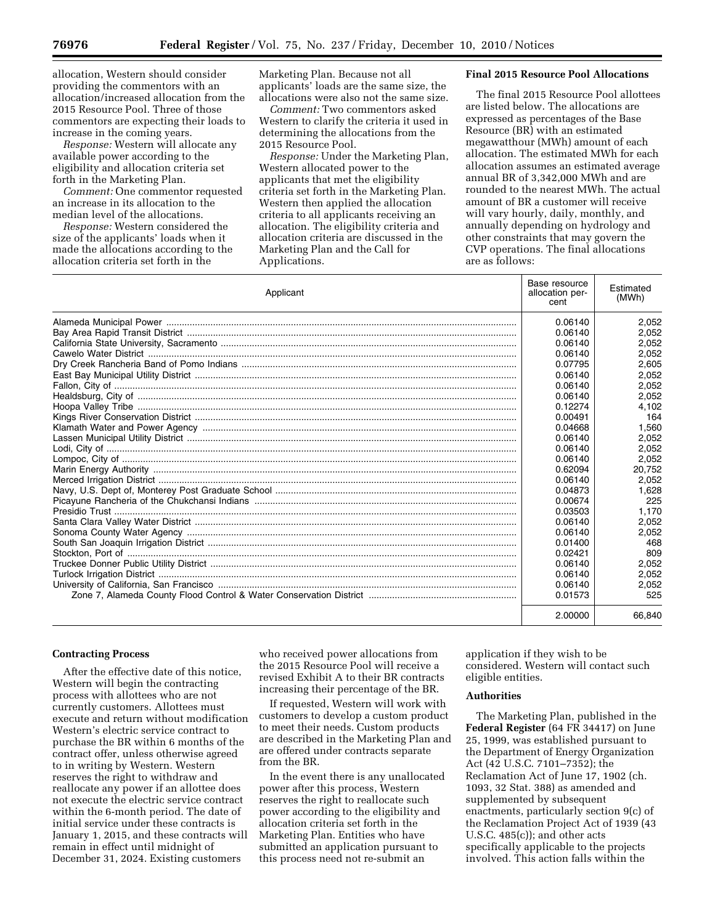allocation, Western should consider providing the commentors with an allocation/increased allocation from the 2015 Resource Pool. Three of those commentors are expecting their loads to increase in the coming years.

*Response:* Western will allocate any available power according to the eligibility and allocation criteria set forth in the Marketing Plan.

*Comment:* One commentor requested an increase in its allocation to the median level of the allocations.

*Response:* Western considered the size of the applicants' loads when it made the allocations according to the allocation criteria set forth in the

Marketing Plan. Because not all applicants' loads are the same size, the allocations were also not the same size.

*Comment:* Two commentors asked Western to clarify the criteria it used in determining the allocations from the 2015 Resource Pool.

*Response:* Under the Marketing Plan, Western allocated power to the applicants that met the eligibility criteria set forth in the Marketing Plan. Western then applied the allocation criteria to all applicants receiving an allocation. The eligibility criteria and allocation criteria are discussed in the Marketing Plan and the Call for Applications.

#### **Final 2015 Resource Pool Allocations**

The final 2015 Resource Pool allottees are listed below. The allocations are expressed as percentages of the Base Resource (BR) with an estimated megawatthour (MWh) amount of each allocation. The estimated MWh for each allocation assumes an estimated average annual BR of 3,342,000 MWh and are rounded to the nearest MWh. The actual amount of BR a customer will receive will vary hourly, daily, monthly, and annually depending on hydrology and other constraints that may govern the CVP operations. The final allocations are as follows:

| Applicant | Base resource<br>allocation per-<br>cent | Estimated<br>(MWh) |
|-----------|------------------------------------------|--------------------|
|           | 0.06140                                  | 2,052              |
|           | 0.06140                                  | 2.052              |
|           | 0.06140                                  | 2,052              |
|           | 0.06140                                  | 2,052              |
|           | 0.07795                                  | 2,605              |
|           | 0.06140                                  | 2,052              |
|           | 0.06140                                  | 2,052              |
|           | 0.06140                                  | 2,052              |
|           | 0.12274                                  | 4,102              |
|           | 0.00491                                  | 164                |
|           | 0.04668                                  | 1,560              |
|           | 0.06140                                  | 2,052              |
|           | 0.06140                                  | 2.052              |
|           | 0.06140                                  | 2,052              |
|           | 0.62094                                  | 20.752             |
|           | 0.06140                                  | 2,052              |
|           | 0.04873                                  | 1.628              |
|           | 0.00674                                  | 225                |
|           | 0.03503                                  | 1.170              |
|           | 0.06140                                  | 2,052              |
|           | 0.06140                                  | 2,052              |
|           | 0.01400                                  | 468                |
|           | 0.02421                                  | 809                |
|           | 0.06140                                  | 2,052              |
|           | 0.06140                                  | 2.052              |
|           | 0.06140                                  | 2,052              |
|           | 0.01573                                  | 525                |
|           | 2.00000                                  | 66.840             |

## **Contracting Process**

After the effective date of this notice, Western will begin the contracting process with allottees who are not currently customers. Allottees must execute and return without modification Western's electric service contract to purchase the BR within 6 months of the contract offer, unless otherwise agreed to in writing by Western. Western reserves the right to withdraw and reallocate any power if an allottee does not execute the electric service contract within the 6-month period. The date of initial service under these contracts is January 1, 2015, and these contracts will remain in effect until midnight of December 31, 2024. Existing customers

who received power allocations from the 2015 Resource Pool will receive a revised Exhibit A to their BR contracts increasing their percentage of the BR.

If requested, Western will work with customers to develop a custom product to meet their needs. Custom products are described in the Marketing Plan and are offered under contracts separate from the BR.

In the event there is any unallocated power after this process, Western reserves the right to reallocate such power according to the eligibility and allocation criteria set forth in the Marketing Plan. Entities who have submitted an application pursuant to this process need not re-submit an

application if they wish to be considered. Western will contact such eligible entities.

## **Authorities**

The Marketing Plan, published in the **Federal Register** (64 FR 34417) on June 25, 1999, was established pursuant to the Department of Energy Organization Act (42 U.S.C. 7101–7352); the Reclamation Act of June 17, 1902 (ch. 1093, 32 Stat. 388) as amended and supplemented by subsequent enactments, particularly section 9(c) of the Reclamation Project Act of 1939 (43 U.S.C. 485(c)); and other acts specifically applicable to the projects involved. This action falls within the